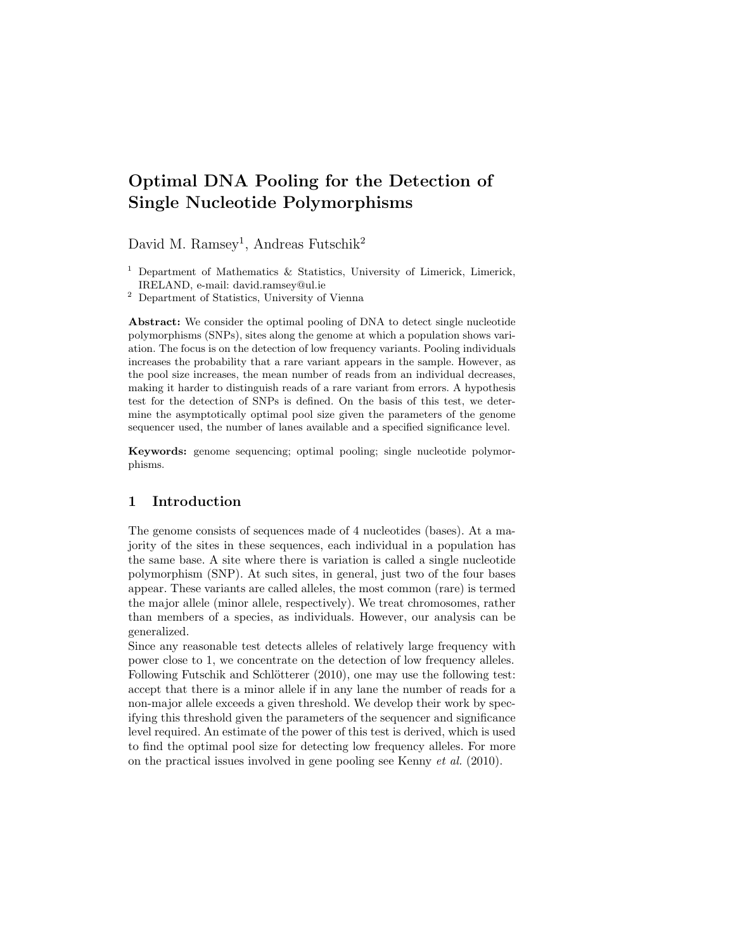# Optimal DNA Pooling for the Detection of Single Nucleotide Polymorphisms

David M. Ramsey<sup>1</sup>, Andreas Futschik<sup>2</sup>

Abstract: We consider the optimal pooling of DNA to detect single nucleotide polymorphisms (SNPs), sites along the genome at which a population shows variation. The focus is on the detection of low frequency variants. Pooling individuals increases the probability that a rare variant appears in the sample. However, as the pool size increases, the mean number of reads from an individual decreases, making it harder to distinguish reads of a rare variant from errors. A hypothesis test for the detection of SNPs is defined. On the basis of this test, we determine the asymptotically optimal pool size given the parameters of the genome sequencer used, the number of lanes available and a specified significance level.

Keywords: genome sequencing; optimal pooling; single nucleotide polymorphisms.

## 1 Introduction

The genome consists of sequences made of 4 nucleotides (bases). At a majority of the sites in these sequences, each individual in a population has the same base. A site where there is variation is called a single nucleotide polymorphism (SNP). At such sites, in general, just two of the four bases appear. These variants are called alleles, the most common (rare) is termed the major allele (minor allele, respectively). We treat chromosomes, rather than members of a species, as individuals. However, our analysis can be generalized.

Since any reasonable test detects alleles of relatively large frequency with power close to 1, we concentrate on the detection of low frequency alleles. Following Futschik and Schlötterer (2010), one may use the following test: accept that there is a minor allele if in any lane the number of reads for a non-major allele exceeds a given threshold. We develop their work by specifying this threshold given the parameters of the sequencer and significance level required. An estimate of the power of this test is derived, which is used to find the optimal pool size for detecting low frequency alleles. For more on the practical issues involved in gene pooling see Kenny et al. (2010).

<sup>&</sup>lt;sup>1</sup> Department of Mathematics  $\&$  Statistics, University of Limerick, Limerick, IRELAND, e-mail: david.ramsey@ul.ie

<sup>2</sup> Department of Statistics, University of Vienna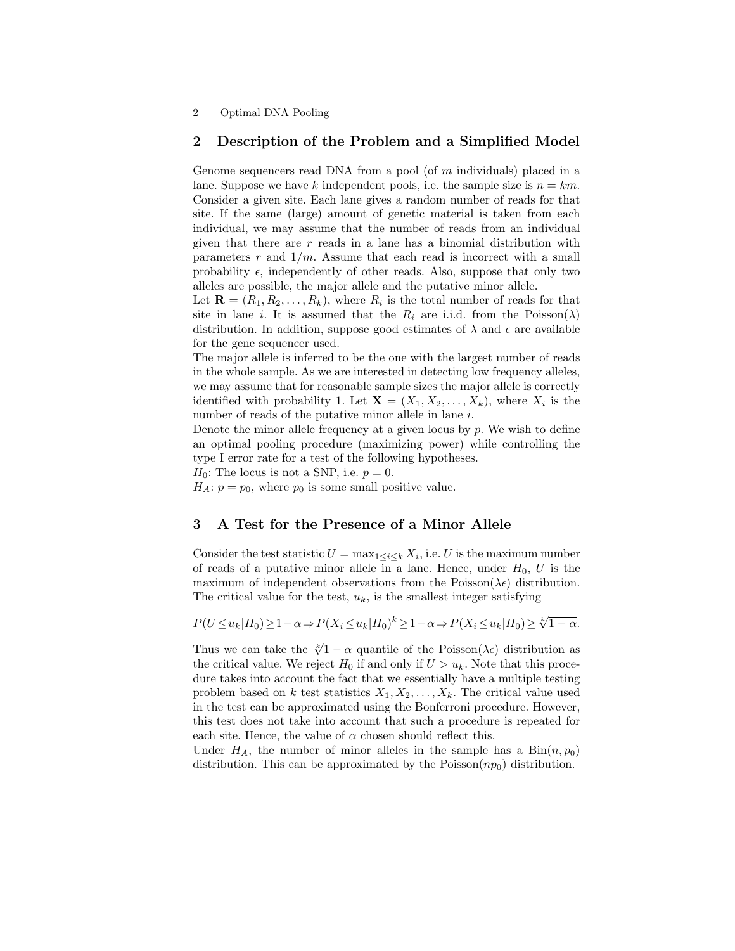2 Optimal DNA Pooling

## 2 Description of the Problem and a Simplified Model

Genome sequencers read DNA from a pool (of  $m$  individuals) placed in a lane. Suppose we have k independent pools, i.e. the sample size is  $n = km$ . Consider a given site. Each lane gives a random number of reads for that site. If the same (large) amount of genetic material is taken from each individual, we may assume that the number of reads from an individual given that there are  $r$  reads in a lane has a binomial distribution with parameters  $r$  and  $1/m$ . Assume that each read is incorrect with a small probability  $\epsilon$ , independently of other reads. Also, suppose that only two alleles are possible, the major allele and the putative minor allele.

Let  $\mathbf{R} = (R_1, R_2, \dots, R_k)$ , where  $R_i$  is the total number of reads for that site in lane *i*. It is assumed that the  $R_i$  are i.i.d. from the Poisson( $\lambda$ ) distribution. In addition, suppose good estimates of  $\lambda$  and  $\epsilon$  are available for the gene sequencer used.

The major allele is inferred to be the one with the largest number of reads in the whole sample. As we are interested in detecting low frequency alleles, we may assume that for reasonable sample sizes the major allele is correctly identified with probability 1. Let  $\mathbf{X} = (X_1, X_2, \dots, X_k)$ , where  $X_i$  is the number of reads of the putative minor allele in lane i.

Denote the minor allele frequency at a given locus by  $p$ . We wish to define an optimal pooling procedure (maximizing power) while controlling the type I error rate for a test of the following hypotheses.

 $H_0$ : The locus is not a SNP, i.e.  $p=0$ .

 $H_A: p = p_0$ , where  $p_0$  is some small positive value.

#### 3 A Test for the Presence of a Minor Allele

Consider the test statistic  $U = \max_{1 \leq i \leq k} X_i$ , i.e. U is the maximum number of reads of a putative minor allele in a lane. Hence, under  $H_0$ , U is the maximum of independent observations from the Poisson( $\lambda \epsilon$ ) distribution. The critical value for the test,  $u_k$ , is the smallest integer satisfying

$$
P(U \le u_k | H_0) \ge 1 - \alpha \Rightarrow P(X_i \le u_k | H_0)^k \ge 1 - \alpha \Rightarrow P(X_i \le u_k | H_0) \ge \sqrt[k]{1 - \alpha}.
$$

Thus we can take the  $\sqrt[k]{1-\alpha}$  quantile of the Poisson( $\lambda \epsilon$ ) distribution as the critical value. We reject  $H_0$  if and only if  $U > u_k$ . Note that this procedure takes into account the fact that we essentially have a multiple testing problem based on k test statistics  $X_1, X_2, \ldots, X_k$ . The critical value used in the test can be approximated using the Bonferroni procedure. However, this test does not take into account that such a procedure is repeated for each site. Hence, the value of  $\alpha$  chosen should reflect this.

Under  $H_A$ , the number of minor alleles in the sample has a  $\text{Bin}(n, p_0)$ distribution. This can be approximated by the  $Poisson(np_0)$  distribution.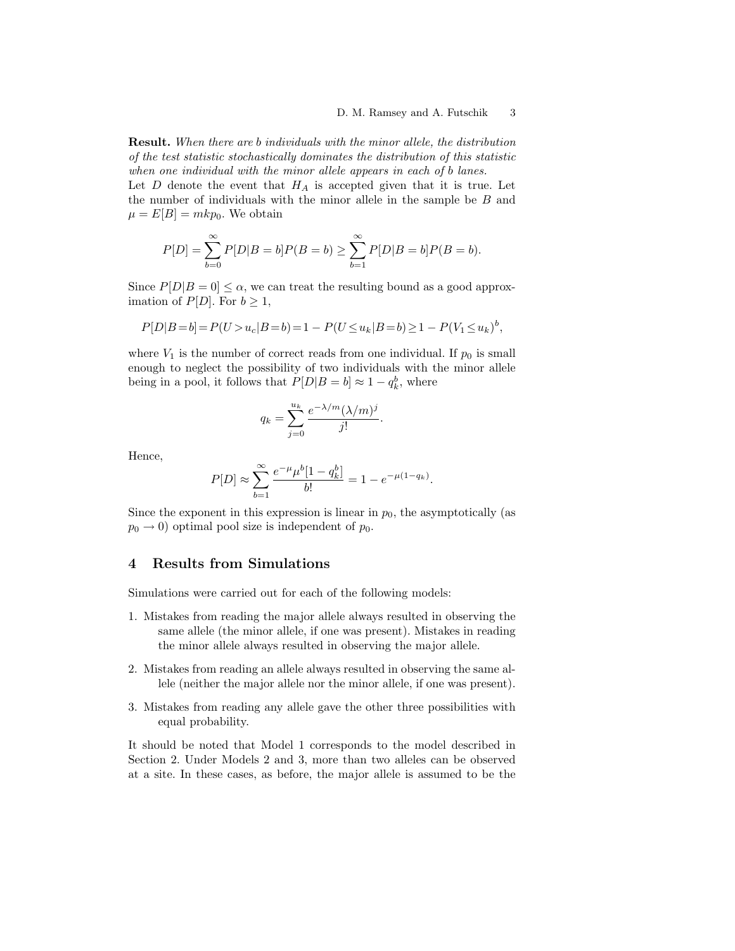Result. When there are b individuals with the minor allele, the distribution of the test statistic stochastically dominates the distribution of this statistic when one individual with the minor allele appears in each of b lanes.

Let  $D$  denote the event that  $H_A$  is accepted given that it is true. Let the number of individuals with the minor allele in the sample be  $B$  and  $\mu = E[B] = mkp_0$ . We obtain

$$
P[D] = \sum_{b=0}^{\infty} P[D|B = b]P(B = b) \ge \sum_{b=1}^{\infty} P[D|B = b]P(B = b).
$$

Since  $P[D|B=0] \leq \alpha$ , we can treat the resulting bound as a good approximation of  $P[D]$ . For  $b \geq 1$ ,

$$
P[D|B=b] = P(U > u_c | B = b) = 1 - P(U \le u_k | B = b) \ge 1 - P(V_1 \le u_k)^b,
$$

where  $V_1$  is the number of correct reads from one individual. If  $p_0$  is small enough to neglect the possibility of two individuals with the minor allele being in a pool, it follows that  $P[D|B = b] \approx 1 - q_k^b$ , where

$$
q_k = \sum_{j=0}^{u_k} \frac{e^{-\lambda/m} (\lambda/m)^j}{j!}.
$$

Hence,

$$
P[D] \approx \sum_{b=1}^{\infty} \frac{e^{-\mu} \mu^b [1 - q_k^b]}{b!} = 1 - e^{-\mu(1 - q_k)}.
$$

Since the exponent in this expression is linear in  $p_0$ , the asymptotically (as  $p_0 \rightarrow 0$ ) optimal pool size is independent of  $p_0$ .

## 4 Results from Simulations

Simulations were carried out for each of the following models:

- 1. Mistakes from reading the major allele always resulted in observing the same allele (the minor allele, if one was present). Mistakes in reading the minor allele always resulted in observing the major allele.
- 2. Mistakes from reading an allele always resulted in observing the same allele (neither the major allele nor the minor allele, if one was present).
- 3. Mistakes from reading any allele gave the other three possibilities with equal probability.

It should be noted that Model 1 corresponds to the model described in Section 2. Under Models 2 and 3, more than two alleles can be observed at a site. In these cases, as before, the major allele is assumed to be the